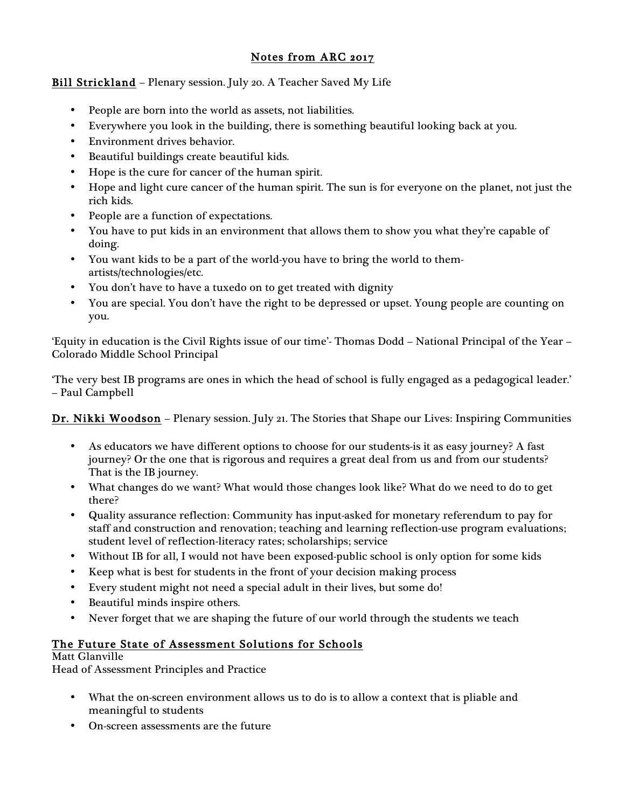# Notes from ARC 2017

# Bill Strickland – Plenary session. July 20. A Teacher Saved My Life

- People are born into the world as assets, not liabilities.
- Everywhere you look in the building, there is something beautiful looking back at you.
- Environment drives behavior.
- Beautiful buildings create beautiful kids.
- Hope is the cure for cancer of the human spirit.
- Hope and light cure cancer of the human spirit. The sun is for everyone on the planet, not just the rich kids.
- People are a function of expectations.
- You have to put kids in an environment that allows them to show you what they're capable of doing.
- You want kids to be a part of the world-you have to bring the world to themartists/technologies/etc.
- You don't have to have a tuxedo on to get treated with dignity
- You are special. You don't have the right to be depressed or upset. Young people are counting on you.

'Equity in education is the Civil Rights issue of our time'- Thomas Dodd – National Principal of the Year – Colorado Middle School Principal

'The very best IB programs are ones in which the head of school is fully engaged as a pedagogical leader.' – Paul Campbell

Dr. Nikki Woodson – Plenary session. July 21. The Stories that Shape our Lives: Inspiring Communities

- As educators we have different options to choose for our students-is it as easy journey? A fast journey? Or the one that is rigorous and requires a great deal from us and from our students? That is the IB journey.
- What changes do we want? What would those changes look like? What do we need to do to get there?
- Quality assurance reflection: Community has input-asked for monetary referendum to pay for staff and construction and renovation; teaching and learning reflection-use program evaluations; student level of reflection-literacy rates; scholarships; service
- Without IB for all, I would not have been exposed-public school is only option for some kids
- Keep what is best for students in the front of your decision making process
- Every student might not need a special adult in their lives, but some do!
- Beautiful minds inspire others.
- Never forget that we are shaping the future of our world through the students we teach

# The Future State of Assessment Solutions for Schools

Matt Glanville Head of Assessment Principles and Practice

- What the on-screen environment allows us to do is to allow a context that is pliable and meaningful to students
- On-screen assessments are the future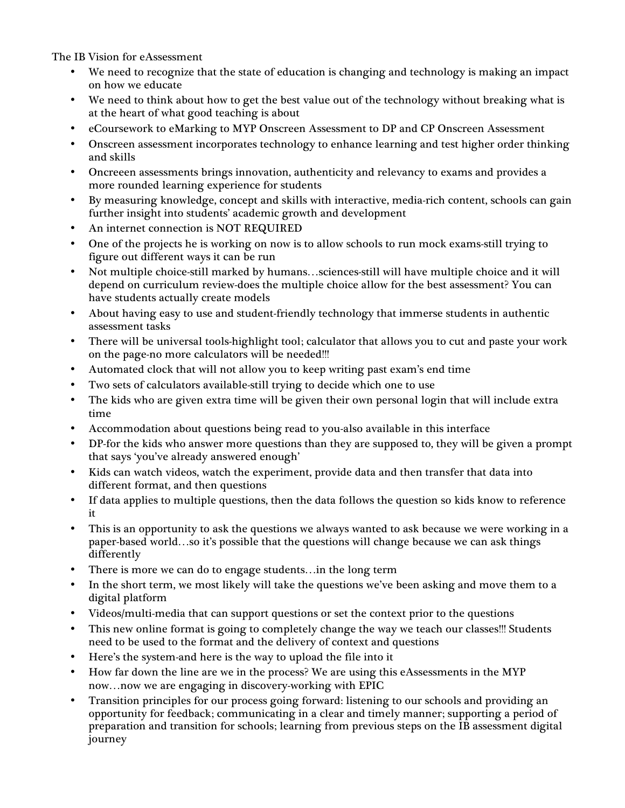The IB Vision for eAssessment

- We need to recognize that the state of education is changing and technology is making an impact on how we educate
- We need to think about how to get the best value out of the technology without breaking what is at the heart of what good teaching is about
- eCoursework to eMarking to MYP Onscreen Assessment to DP and CP Onscreen Assessment
- Onscreen assessment incorporates technology to enhance learning and test higher order thinking and skills
- Oncreeen assessments brings innovation, authenticity and relevancy to exams and provides a more rounded learning experience for students
- By measuring knowledge, concept and skills with interactive, media-rich content, schools can gain further insight into students' academic growth and development
- An internet connection is NOT REQUIRED
- One of the projects he is working on now is to allow schools to run mock exams-still trying to figure out different ways it can be run
- Not multiple choice-still marked by humans…sciences-still will have multiple choice and it will depend on curriculum review-does the multiple choice allow for the best assessment? You can have students actually create models
- About having easy to use and student-friendly technology that immerse students in authentic assessment tasks
- There will be universal tools-highlight tool; calculator that allows you to cut and paste your work on the page-no more calculators will be needed!!!
- Automated clock that will not allow you to keep writing past exam's end time
- Two sets of calculators available-still trying to decide which one to use
- The kids who are given extra time will be given their own personal login that will include extra time
- Accommodation about questions being read to you-also available in this interface
- DP-for the kids who answer more questions than they are supposed to, they will be given a prompt that says 'you've already answered enough'
- Kids can watch videos, watch the experiment, provide data and then transfer that data into different format, and then questions
- If data applies to multiple questions, then the data follows the question so kids know to reference it
- This is an opportunity to ask the questions we always wanted to ask because we were working in a paper-based world…so it's possible that the questions will change because we can ask things differently
- There is more we can do to engage students... in the long term
- In the short term, we most likely will take the questions we've been asking and move them to a digital platform
- Videos/multi-media that can support questions or set the context prior to the questions
- This new online format is going to completely change the way we teach our classes!!! Students need to be used to the format and the delivery of context and questions
- Here's the system-and here is the way to upload the file into it
- How far down the line are we in the process? We are using this eAssessments in the MYP now…now we are engaging in discovery-working with EPIC
- Transition principles for our process going forward: listening to our schools and providing an opportunity for feedback; communicating in a clear and timely manner; supporting a period of preparation and transition for schools; learning from previous steps on the IB assessment digital journey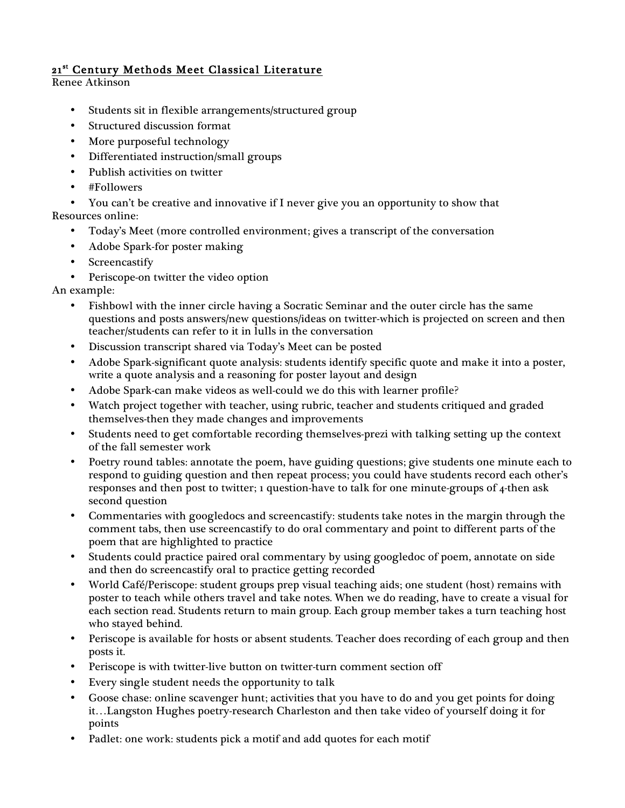# 21st Century Methods Meet Classical Literature

Renee Atkinson

- Students sit in flexible arrangements/structured group
- Structured discussion format
- More purposeful technology
- Differentiated instruction/small groups
- Publish activities on twitter
- #Followers

• You can't be creative and innovative if I never give you an opportunity to show that Resources online:

- Today's Meet (more controlled environment; gives a transcript of the conversation
- Adobe Spark-for poster making
- **Screencastify**
- Periscope-on twitter the video option

An example:

- Fishbowl with the inner circle having a Socratic Seminar and the outer circle has the same questions and posts answers/new questions/ideas on twitter-which is projected on screen and then teacher/students can refer to it in lulls in the conversation
- Discussion transcript shared via Today's Meet can be posted
- Adobe Spark-significant quote analysis: students identify specific quote and make it into a poster, write a quote analysis and a reasoning for poster layout and design
- Adobe Spark-can make videos as well-could we do this with learner profile?
- Watch project together with teacher, using rubric, teacher and students critiqued and graded themselves-then they made changes and improvements
- Students need to get comfortable recording themselves-prezi with talking setting up the context of the fall semester work
- Poetry round tables: annotate the poem, have guiding questions; give students one minute each to respond to guiding question and then repeat process; you could have students record each other's responses and then post to twitter; 1 question-have to talk for one minute-groups of 4-then ask second question
- Commentaries with googledocs and screencastify: students take notes in the margin through the comment tabs, then use screencastify to do oral commentary and point to different parts of the poem that are highlighted to practice
- Students could practice paired oral commentary by using googledoc of poem, annotate on side and then do screencastify oral to practice getting recorded
- World Café/Periscope: student groups prep visual teaching aids; one student (host) remains with poster to teach while others travel and take notes. When we do reading, have to create a visual for each section read. Students return to main group. Each group member takes a turn teaching host who stayed behind.
- Periscope is available for hosts or absent students. Teacher does recording of each group and then posts it.
- Periscope is with twitter-live button on twitter-turn comment section off
- Every single student needs the opportunity to talk
- Goose chase: online scavenger hunt; activities that you have to do and you get points for doing it…Langston Hughes poetry-research Charleston and then take video of yourself doing it for points
- Padlet: one work: students pick a motif and add quotes for each motif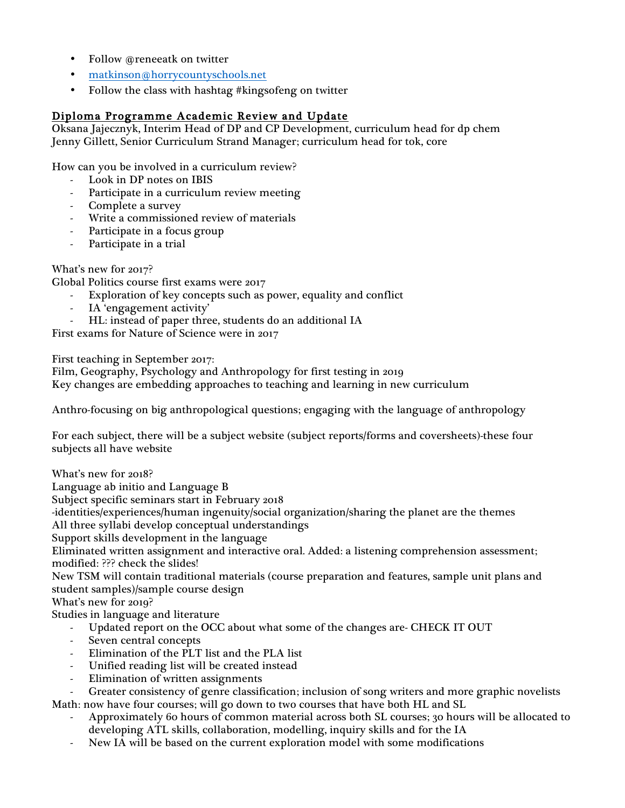- Follow @reneeatk on twitter
- matkinson@horrycountyschools.net
- Follow the class with hashtag #kingsofeng on twitter

# Diploma Programme Academic Review and Update

Oksana Jajecznyk, Interim Head of DP and CP Development, curriculum head for dp chem Jenny Gillett, Senior Curriculum Strand Manager; curriculum head for tok, core

How can you be involved in a curriculum review?

- Look in DP notes on IBIS
- Participate in a curriculum review meeting
- Complete a survey
- Write a commissioned review of materials
- Participate in a focus group
- Participate in a trial

What's new for 2017?

Global Politics course first exams were 2017

- Exploration of key concepts such as power, equality and conflict
- IA 'engagement activity'
- HL: instead of paper three, students do an additional IA

First exams for Nature of Science were in 2017

First teaching in September 2017:

Film, Geography, Psychology and Anthropology for first testing in 2019 Key changes are embedding approaches to teaching and learning in new curriculum

Anthro-focusing on big anthropological questions; engaging with the language of anthropology

For each subject, there will be a subject website (subject reports/forms and coversheets)-these four subjects all have website

What's new for 2018?

Language ab initio and Language B

Subject specific seminars start in February 2018

-identities/experiences/human ingenuity/social organization/sharing the planet are the themes

All three syllabi develop conceptual understandings

Support skills development in the language

Eliminated written assignment and interactive oral. Added: a listening comprehension assessment; modified: ??? check the slides!

New TSM will contain traditional materials (course preparation and features, sample unit plans and student samples)/sample course design

What's new for 2019?

Studies in language and literature

- Updated report on the OCC about what some of the changes are- CHECK IT OUT
- Seven central concepts
- Elimination of the PLT list and the PLA list
- Unified reading list will be created instead
- Elimination of written assignments

- Greater consistency of genre classification; inclusion of song writers and more graphic novelists Math: now have four courses; will go down to two courses that have both HL and SL

- Approximately 60 hours of common material across both SL courses; 30 hours will be allocated to developing ATL skills, collaboration, modelling, inquiry skills and for the IA
- New IA will be based on the current exploration model with some modifications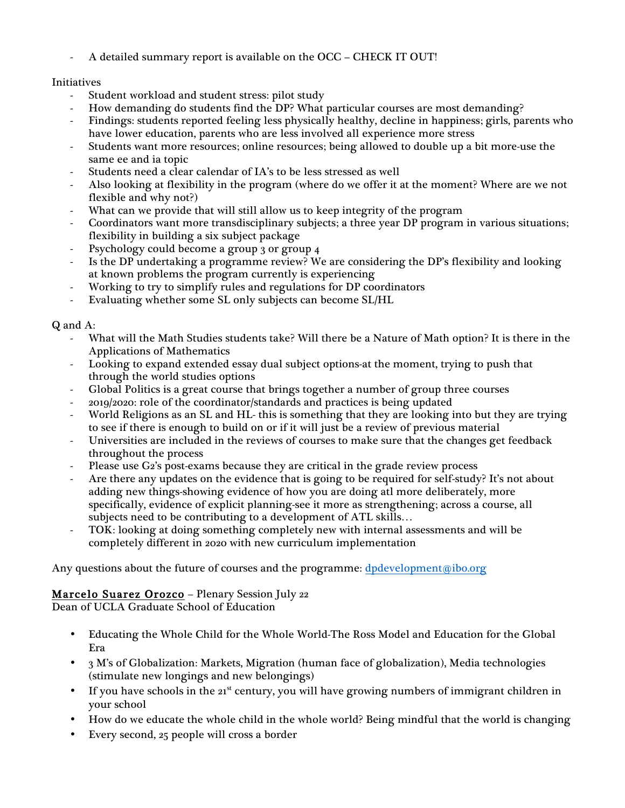A detailed summary report is available on the OCC – CHECK IT OUT!

## Initiatives

- Student workload and student stress: pilot study
- How demanding do students find the DP? What particular courses are most demanding?
- Findings: students reported feeling less physically healthy, decline in happiness; girls, parents who have lower education, parents who are less involved all experience more stress
- Students want more resources; online resources; being allowed to double up a bit more-use the same ee and ia topic
- Students need a clear calendar of IA's to be less stressed as well
- Also looking at flexibility in the program (where do we offer it at the moment? Where are we not flexible and why not?)
- What can we provide that will still allow us to keep integrity of the program
- Coordinators want more transdisciplinary subjects; a three year DP program in various situations; flexibility in building a six subject package
- Psychology could become a group 3 or group 4
- Is the DP undertaking a programme review? We are considering the DP's flexibility and looking at known problems the program currently is experiencing
- Working to try to simplify rules and regulations for DP coordinators
- Evaluating whether some SL only subjects can become SL/HL

## Q and A:

- What will the Math Studies students take? Will there be a Nature of Math option? It is there in the Applications of Mathematics
- Looking to expand extended essay dual subject options-at the moment, trying to push that through the world studies options
- Global Politics is a great course that brings together a number of group three courses
- 2019/2020: role of the coordinator/standards and practices is being updated
- World Religions as an SL and HL- this is something that they are looking into but they are trying to see if there is enough to build on or if it will just be a review of previous material
- Universities are included in the reviews of courses to make sure that the changes get feedback throughout the process
- Please use G2's post-exams because they are critical in the grade review process
- Are there any updates on the evidence that is going to be required for self-study? It's not about adding new things-showing evidence of how you are doing atl more deliberately, more specifically, evidence of explicit planning-see it more as strengthening; across a course, all subjects need to be contributing to a development of ATL skills…
- TOK: looking at doing something completely new with internal assessments and will be completely different in 2020 with new curriculum implementation

Any questions about the future of courses and the programme: dpdevelopment@ibo.org

# Marcelo Suarez Orozco – Plenary Session July 22

Dean of UCLA Graduate School of Education

- Educating the Whole Child for the Whole World-The Ross Model and Education for the Global Era
- 3 M's of Globalization: Markets, Migration (human face of globalization), Media technologies (stimulate new longings and new belongings)
- If you have schools in the  $21<sup>st</sup>$  century, you will have growing numbers of immigrant children in your school
- How do we educate the whole child in the whole world? Being mindful that the world is changing
- Every second, 25 people will cross a border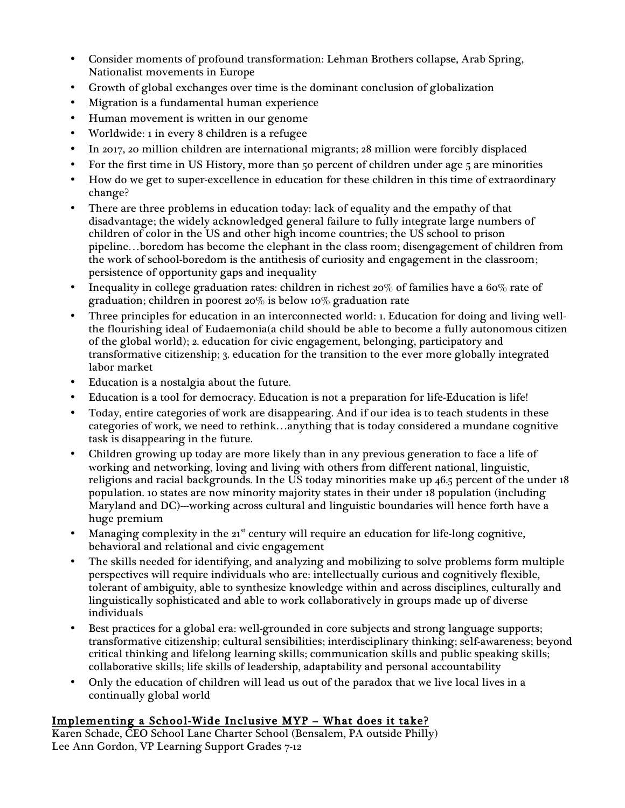- Consider moments of profound transformation: Lehman Brothers collapse, Arab Spring, Nationalist movements in Europe
- Growth of global exchanges over time is the dominant conclusion of globalization
- Migration is a fundamental human experience
- Human movement is written in our genome
- Worldwide: 1 in every 8 children is a refugee
- In 2017, 20 million children are international migrants; 28 million were forcibly displaced
- For the first time in US History, more than 50 percent of children under age 5 are minorities
- How do we get to super-excellence in education for these children in this time of extraordinary change?
- There are three problems in education today: lack of equality and the empathy of that disadvantage; the widely acknowledged general failure to fully integrate large numbers of children of color in the US and other high income countries; the US school to prison pipeline…boredom has become the elephant in the class room; disengagement of children from the work of school-boredom is the antithesis of curiosity and engagement in the classroom; persistence of opportunity gaps and inequality
- Inequality in college graduation rates: children in richest 20% of families have a 60% rate of graduation; children in poorest 20% is below 10% graduation rate
- Three principles for education in an interconnected world: 1. Education for doing and living wellthe flourishing ideal of Eudaemonia(a child should be able to become a fully autonomous citizen of the global world); 2. education for civic engagement, belonging, participatory and transformative citizenship; 3. education for the transition to the ever more globally integrated labor market
- Education is a nostalgia about the future.
- Education is a tool for democracy. Education is not a preparation for life-Education is life!
- Today, entire categories of work are disappearing. And if our idea is to teach students in these categories of work, we need to rethink…anything that is today considered a mundane cognitive task is disappearing in the future.
- Children growing up today are more likely than in any previous generation to face a life of working and networking, loving and living with others from different national, linguistic, religions and racial backgrounds. In the US today minorities make up 46.5 percent of the under 18 population. 10 states are now minority majority states in their under 18 population (including Maryland and DC)---working across cultural and linguistic boundaries will hence forth have a huge premium
- Managing complexity in the  $21<sup>st</sup>$  century will require an education for life-long cognitive, behavioral and relational and civic engagement
- The skills needed for identifying, and analyzing and mobilizing to solve problems form multiple perspectives will require individuals who are: intellectually curious and cognitively flexible, tolerant of ambiguity, able to synthesize knowledge within and across disciplines, culturally and linguistically sophisticated and able to work collaboratively in groups made up of diverse individuals
- Best practices for a global era: well-grounded in core subjects and strong language supports; transformative citizenship; cultural sensibilities; interdisciplinary thinking; self-awareness; beyond critical thinking and lifelong learning skills; communication skills and public speaking skills; collaborative skills; life skills of leadership, adaptability and personal accountability
- Only the education of children will lead us out of the paradox that we live local lives in a continually global world

# Implementing a School-Wide Inclusive MYP – What does it take?

Karen Schade, CEO School Lane Charter School (Bensalem, PA outside Philly) Lee Ann Gordon, VP Learning Support Grades 7-12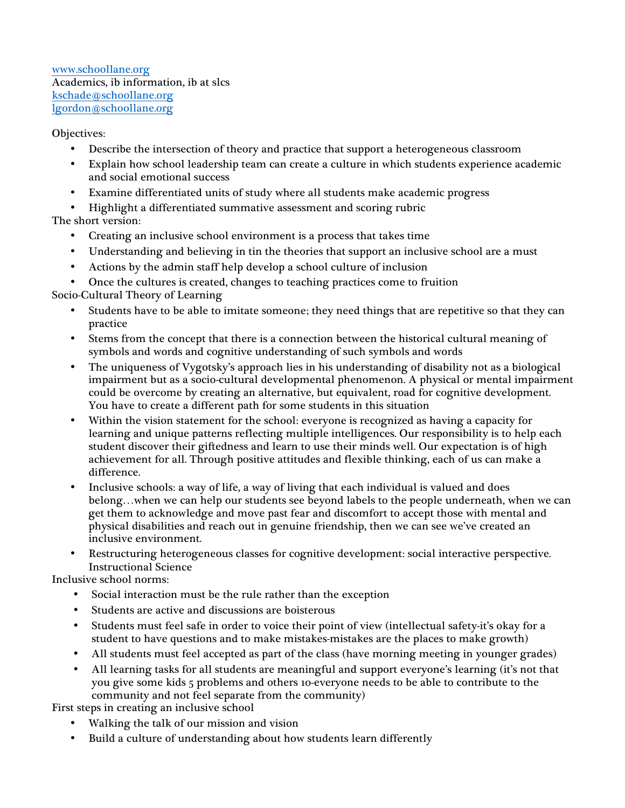www.schoollane.org Academics, ib information, ib at slcs kschade@schoollane.org lgordon@schoollane.org

#### Objectives:

- Describe the intersection of theory and practice that support a heterogeneous classroom
- Explain how school leadership team can create a culture in which students experience academic and social emotional success
- Examine differentiated units of study where all students make academic progress
- Highlight a differentiated summative assessment and scoring rubric

The short version:

- Creating an inclusive school environment is a process that takes time
- Understanding and believing in tin the theories that support an inclusive school are a must
- Actions by the admin staff help develop a school culture of inclusion
- Once the cultures is created, changes to teaching practices come to fruition

Socio-Cultural Theory of Learning

- Students have to be able to imitate someone; they need things that are repetitive so that they can practice
- Stems from the concept that there is a connection between the historical cultural meaning of symbols and words and cognitive understanding of such symbols and words
- The uniqueness of Vygotsky's approach lies in his understanding of disability not as a biological impairment but as a socio-cultural developmental phenomenon. A physical or mental impairment could be overcome by creating an alternative, but equivalent, road for cognitive development. You have to create a different path for some students in this situation
- Within the vision statement for the school: everyone is recognized as having a capacity for learning and unique patterns reflecting multiple intelligences. Our responsibility is to help each student discover their giftedness and learn to use their minds well. Our expectation is of high achievement for all. Through positive attitudes and flexible thinking, each of us can make a difference.
- Inclusive schools: a way of life, a way of living that each individual is valued and does belong…when we can help our students see beyond labels to the people underneath, when we can get them to acknowledge and move past fear and discomfort to accept those with mental and physical disabilities and reach out in genuine friendship, then we can see we've created an inclusive environment.
- Restructuring heterogeneous classes for cognitive development: social interactive perspective. Instructional Science

Inclusive school norms:

- Social interaction must be the rule rather than the exception
- Students are active and discussions are boisterous
- Students must feel safe in order to voice their point of view (intellectual safety-it's okay for a student to have questions and to make mistakes-mistakes are the places to make growth)
- All students must feel accepted as part of the class (have morning meeting in younger grades)
- All learning tasks for all students are meaningful and support everyone's learning (it's not that you give some kids 5 problems and others 10-everyone needs to be able to contribute to the community and not feel separate from the community)

First steps in creating an inclusive school

- Walking the talk of our mission and vision
- Build a culture of understanding about how students learn differently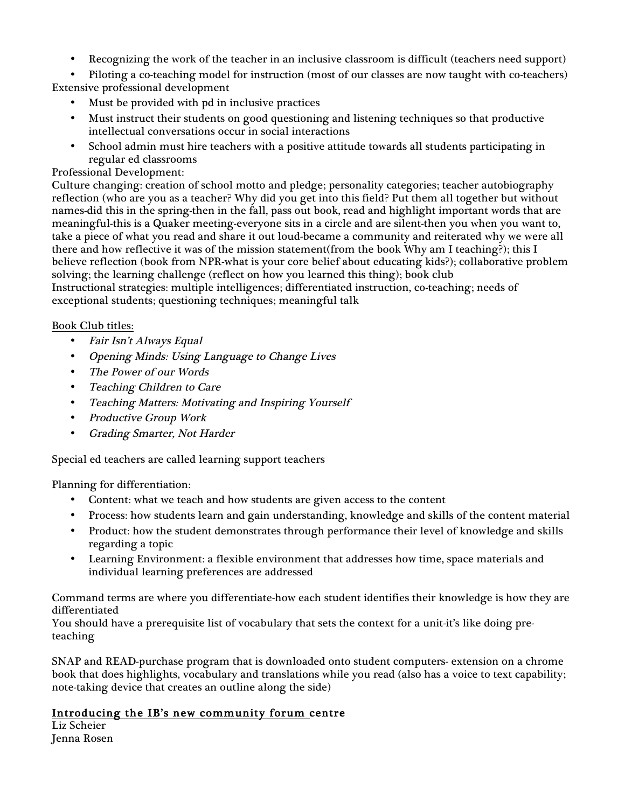• Recognizing the work of the teacher in an inclusive classroom is difficult (teachers need support)

• Piloting a co-teaching model for instruction (most of our classes are now taught with co-teachers) Extensive professional development

- Must be provided with pd in inclusive practices
- Must instruct their students on good questioning and listening techniques so that productive intellectual conversations occur in social interactions
- School admin must hire teachers with a positive attitude towards all students participating in regular ed classrooms

### Professional Development:

Culture changing: creation of school motto and pledge; personality categories; teacher autobiography reflection (who are you as a teacher? Why did you get into this field? Put them all together but without names-did this in the spring-then in the fall, pass out book, read and highlight important words that are meaningful-this is a Quaker meeting-everyone sits in a circle and are silent-then you when you want to, take a piece of what you read and share it out loud-became a community and reiterated why we were all there and how reflective it was of the mission statement(from the book Why am I teaching?); this I believe reflection (book from NPR-what is your core belief about educating kids?); collaborative problem solving; the learning challenge (reflect on how you learned this thing); book club Instructional strategies: multiple intelligences; differentiated instruction, co-teaching; needs of exceptional students; questioning techniques; meaningful talk

### Book Club titles:

- Fair Isn't Always Equal
- Opening Minds: Using Language to Change Lives
- The Power of our Words
- Teaching Children to Care
- Teaching Matters: Motivating and Inspiring Yourself
- Productive Group Work
- Grading Smarter, Not Harder

Special ed teachers are called learning support teachers

Planning for differentiation:

- Content: what we teach and how students are given access to the content
- Process: how students learn and gain understanding, knowledge and skills of the content material
- Product: how the student demonstrates through performance their level of knowledge and skills regarding a topic
- Learning Environment: a flexible environment that addresses how time, space materials and individual learning preferences are addressed

Command terms are where you differentiate-how each student identifies their knowledge is how they are differentiated

You should have a prerequisite list of vocabulary that sets the context for a unit-it's like doing preteaching

SNAP and READ-purchase program that is downloaded onto student computers- extension on a chrome book that does highlights, vocabulary and translations while you read (also has a voice to text capability; note-taking device that creates an outline along the side)

# Introducing the IB's new community forum centre

Liz Scheier Jenna Rosen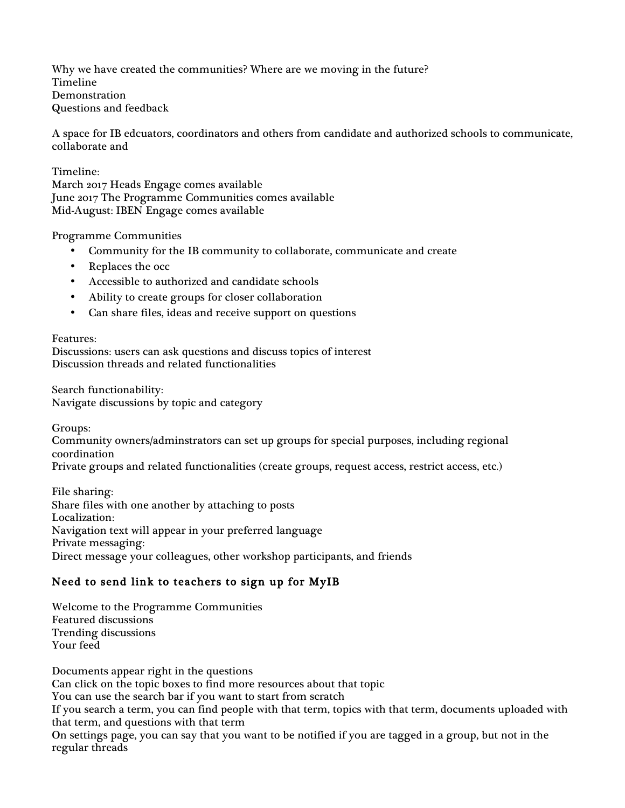Why we have created the communities? Where are we moving in the future? Timeline Demonstration Questions and feedback

A space for IB edcuators, coordinators and others from candidate and authorized schools to communicate, collaborate and

Timeline:

March 2017 Heads Engage comes available June 2017 The Programme Communities comes available Mid-August: IBEN Engage comes available

Programme Communities

- Community for the IB community to collaborate, communicate and create
- Replaces the occ
- Accessible to authorized and candidate schools
- Ability to create groups for closer collaboration
- Can share files, ideas and receive support on questions

Features:

Discussions: users can ask questions and discuss topics of interest Discussion threads and related functionalities

Search functionability: Navigate discussions by topic and category

Groups: Community owners/adminstrators can set up groups for special purposes, including regional coordination Private groups and related functionalities (create groups, request access, restrict access, etc.)

File sharing: Share files with one another by attaching to posts Localization: Navigation text will appear in your preferred language Private messaging: Direct message your colleagues, other workshop participants, and friends

# Need to send link to teachers to sign up for MyIB

Welcome to the Programme Communities Featured discussions Trending discussions Your feed

Documents appear right in the questions Can click on the topic boxes to find more resources about that topic You can use the search bar if you want to start from scratch If you search a term, you can find people with that term, topics with that term, documents uploaded with that term, and questions with that term On settings page, you can say that you want to be notified if you are tagged in a group, but not in the regular threads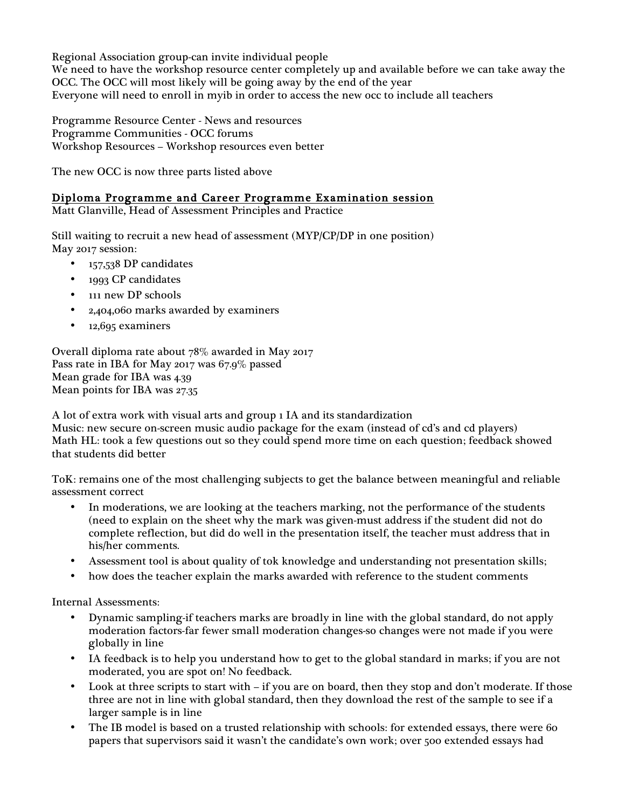Regional Association group-can invite individual people We need to have the workshop resource center completely up and available before we can take away the OCC. The OCC will most likely will be going away by the end of the year Everyone will need to enroll in myib in order to access the new occ to include all teachers

Programme Resource Center - News and resources Programme Communities - OCC forums Workshop Resources – Workshop resources even better

The new OCC is now three parts listed above

# Diploma Programme and Career Programme Examination session

Matt Glanville, Head of Assessment Principles and Practice

Still waiting to recruit a new head of assessment (MYP/CP/DP in one position) May 2017 session:

- 157,538 DP candidates
- 1993 CP candidates
- 111 new DP schools
- 2,404,060 marks awarded by examiners
- 12,695 examiners

Overall diploma rate about 78% awarded in May 2017 Pass rate in IBA for May 2017 was 67.9% passed Mean grade for IBA was 4.39 Mean points for IBA was 27.35

A lot of extra work with visual arts and group 1 IA and its standardization Music: new secure on-screen music audio package for the exam (instead of cd's and cd players) Math HL: took a few questions out so they could spend more time on each question; feedback showed that students did better

ToK: remains one of the most challenging subjects to get the balance between meaningful and reliable assessment correct

- In moderations, we are looking at the teachers marking, not the performance of the students (need to explain on the sheet why the mark was given-must address if the student did not do complete reflection, but did do well in the presentation itself, the teacher must address that in his/her comments.
- Assessment tool is about quality of tok knowledge and understanding not presentation skills;
- how does the teacher explain the marks awarded with reference to the student comments

Internal Assessments:

- Dynamic sampling-if teachers marks are broadly in line with the global standard, do not apply moderation factors-far fewer small moderation changes-so changes were not made if you were globally in line
- IA feedback is to help you understand how to get to the global standard in marks; if you are not moderated, you are spot on! No feedback.
- Look at three scripts to start with if you are on board, then they stop and don't moderate. If those three are not in line with global standard, then they download the rest of the sample to see if a larger sample is in line
- The IB model is based on a trusted relationship with schools: for extended essays, there were 60 papers that supervisors said it wasn't the candidate's own work; over 500 extended essays had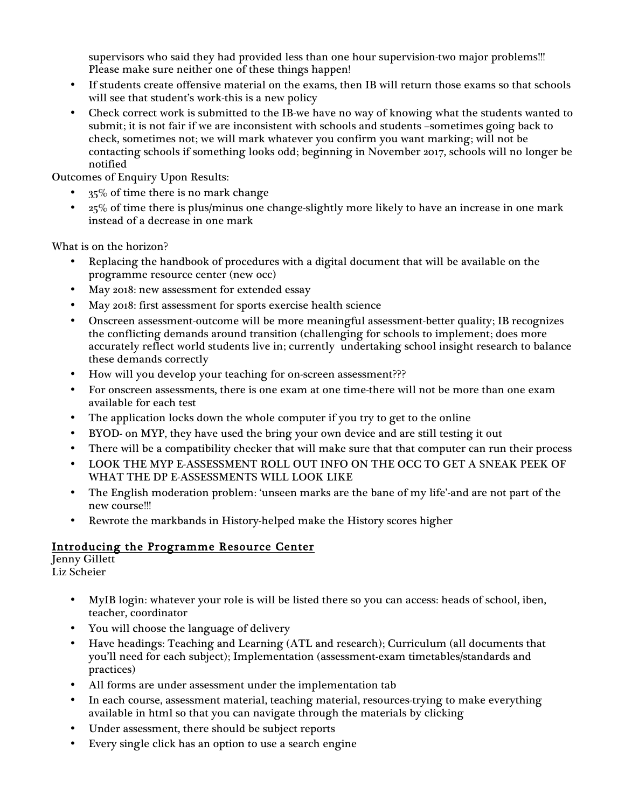supervisors who said they had provided less than one hour supervision-two major problems!!! Please make sure neither one of these things happen!

- If students create offensive material on the exams, then IB will return those exams so that schools will see that student's work-this is a new policy
- Check correct work is submitted to the IB-we have no way of knowing what the students wanted to submit; it is not fair if we are inconsistent with schools and students –sometimes going back to check, sometimes not; we will mark whatever you confirm you want marking; will not be contacting schools if something looks odd; beginning in November 2017, schools will no longer be notified

Outcomes of Enquiry Upon Results:

- 35% of time there is no mark change
- $25\%$  of time there is plus/minus one change-slightly more likely to have an increase in one mark instead of a decrease in one mark

What is on the horizon?

- Replacing the handbook of procedures with a digital document that will be available on the programme resource center (new occ)
- May 2018: new assessment for extended essay
- May 2018: first assessment for sports exercise health science
- Onscreen assessment-outcome will be more meaningful assessment-better quality; IB recognizes the conflicting demands around transition (challenging for schools to implement; does more accurately reflect world students live in; currently undertaking school insight research to balance these demands correctly
- How will you develop your teaching for on-screen assessment???
- For onscreen assessments, there is one exam at one time-there will not be more than one exam available for each test
- The application locks down the whole computer if you try to get to the online
- BYOD- on MYP, they have used the bring your own device and are still testing it out
- There will be a compatibility checker that will make sure that that computer can run their process
- LOOK THE MYP E-ASSESSMENT ROLL OUT INFO ON THE OCC TO GET A SNEAK PEEK OF WHAT THE DP E-ASSESSMENTS WILL LOOK LIKE
- The English moderation problem: 'unseen marks are the bane of my life'-and are not part of the new course!!!
- Rewrote the markbands in History-helped make the History scores higher

# Introducing the Programme Resource Center

```
Jenny Gillett
Liz Scheier
```
- MyIB login: whatever your role is will be listed there so you can access: heads of school, iben, teacher, coordinator
- You will choose the language of delivery
- Have headings: Teaching and Learning (ATL and research); Curriculum (all documents that you'll need for each subject); Implementation (assessment-exam timetables/standards and practices)
- All forms are under assessment under the implementation tab
- In each course, assessment material, teaching material, resources-trying to make everything available in html so that you can navigate through the materials by clicking
- Under assessment, there should be subject reports
- Every single click has an option to use a search engine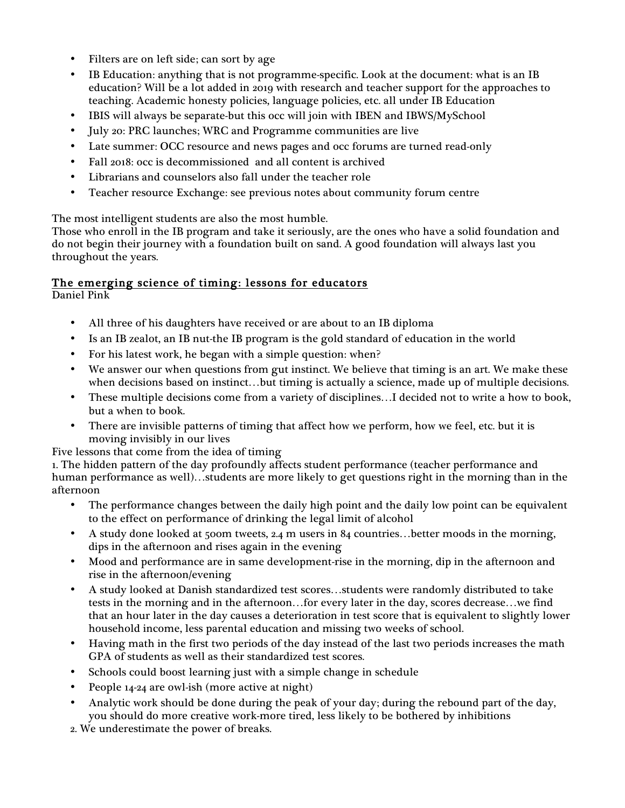- Filters are on left side; can sort by age
- IB Education: anything that is not programme-specific. Look at the document: what is an IB education? Will be a lot added in 2019 with research and teacher support for the approaches to teaching. Academic honesty policies, language policies, etc. all under IB Education
- IBIS will always be separate-but this occ will join with IBEN and IBWS/MySchool
- July 20: PRC launches; WRC and Programme communities are live
- Late summer: OCC resource and news pages and occ forums are turned read-only
- Fall 2018: occ is decommissioned and all content is archived
- Librarians and counselors also fall under the teacher role
- Teacher resource Exchange: see previous notes about community forum centre

The most intelligent students are also the most humble.

Those who enroll in the IB program and take it seriously, are the ones who have a solid foundation and do not begin their journey with a foundation built on sand. A good foundation will always last you throughout the years.

## The emerging science of timing: lessons for educators

Daniel Pink

- All three of his daughters have received or are about to an IB diploma
- Is an IB zealot, an IB nut-the IB program is the gold standard of education in the world
- For his latest work, he began with a simple question: when?
- We answer our when questions from gut instinct. We believe that timing is an art. We make these when decisions based on instinct…but timing is actually a science, made up of multiple decisions.
- These multiple decisions come from a variety of disciplines…I decided not to write a how to book, but a when to book.
- There are invisible patterns of timing that affect how we perform, how we feel, etc. but it is moving invisibly in our lives
- Five lessons that come from the idea of timing

1. The hidden pattern of the day profoundly affects student performance (teacher performance and human performance as well)…students are more likely to get questions right in the morning than in the afternoon

- The performance changes between the daily high point and the daily low point can be equivalent to the effect on performance of drinking the legal limit of alcohol
- A study done looked at 500m tweets, 2.4 m users in 84 countries…better moods in the morning, dips in the afternoon and rises again in the evening
- Mood and performance are in same development-rise in the morning, dip in the afternoon and rise in the afternoon/evening
- A study looked at Danish standardized test scores…students were randomly distributed to take tests in the morning and in the afternoon…for every later in the day, scores decrease…we find that an hour later in the day causes a deterioration in test score that is equivalent to slightly lower household income, less parental education and missing two weeks of school.
- Having math in the first two periods of the day instead of the last two periods increases the math GPA of students as well as their standardized test scores.
- Schools could boost learning just with a simple change in schedule
- People 14-24 are owl-ish (more active at night)
- Analytic work should be done during the peak of your day; during the rebound part of the day, you should do more creative work-more tired, less likely to be bothered by inhibitions
- 2. We underestimate the power of breaks.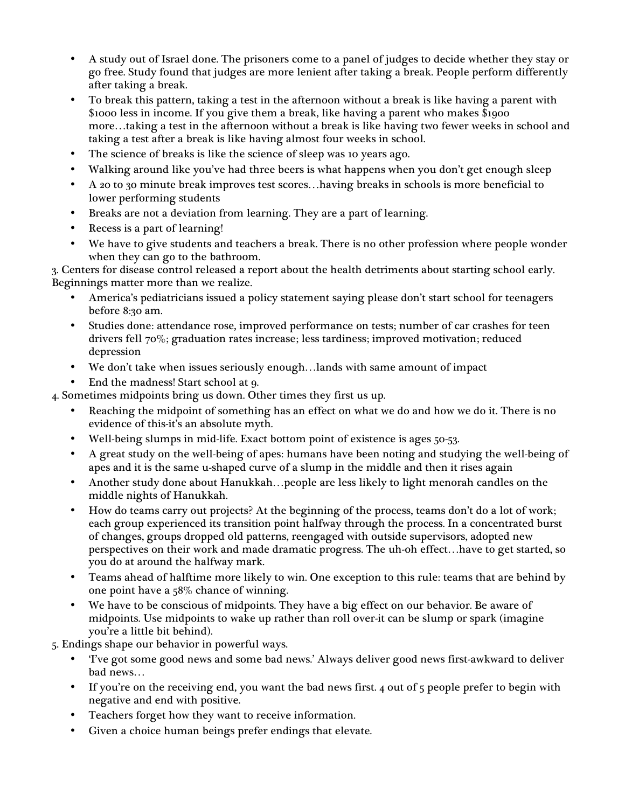- A study out of Israel done. The prisoners come to a panel of judges to decide whether they stay or go free. Study found that judges are more lenient after taking a break. People perform differently after taking a break.
- To break this pattern, taking a test in the afternoon without a break is like having a parent with \$1000 less in income. If you give them a break, like having a parent who makes \$1900 more…taking a test in the afternoon without a break is like having two fewer weeks in school and taking a test after a break is like having almost four weeks in school.
- The science of breaks is like the science of sleep was 10 years ago.
- Walking around like you've had three beers is what happens when you don't get enough sleep
- A 20 to 30 minute break improves test scores…having breaks in schools is more beneficial to lower performing students
- Breaks are not a deviation from learning. They are a part of learning.
- Recess is a part of learning!
- We have to give students and teachers a break. There is no other profession where people wonder when they can go to the bathroom.

3. Centers for disease control released a report about the health detriments about starting school early. Beginnings matter more than we realize.

- America's pediatricians issued a policy statement saying please don't start school for teenagers before 8:30 am.
- Studies done: attendance rose, improved performance on tests; number of car crashes for teen drivers fell 70%; graduation rates increase; less tardiness; improved motivation; reduced depression
- We don't take when issues seriously enough…lands with same amount of impact
- End the madness! Start school at 9.

4. Sometimes midpoints bring us down. Other times they first us up.

- Reaching the midpoint of something has an effect on what we do and how we do it. There is no evidence of this-it's an absolute myth.
- Well-being slumps in mid-life. Exact bottom point of existence is ages 50-53.
- A great study on the well-being of apes: humans have been noting and studying the well-being of apes and it is the same u-shaped curve of a slump in the middle and then it rises again
- Another study done about Hanukkah…people are less likely to light menorah candles on the middle nights of Hanukkah.
- How do teams carry out projects? At the beginning of the process, teams don't do a lot of work; each group experienced its transition point halfway through the process. In a concentrated burst of changes, groups dropped old patterns, reengaged with outside supervisors, adopted new perspectives on their work and made dramatic progress. The uh-oh effect…have to get started, so you do at around the halfway mark.
- Teams ahead of halftime more likely to win. One exception to this rule: teams that are behind by one point have a 58% chance of winning.
- We have to be conscious of midpoints. They have a big effect on our behavior. Be aware of midpoints. Use midpoints to wake up rather than roll over-it can be slump or spark (imagine you're a little bit behind).
- 5. Endings shape our behavior in powerful ways.
	- 'I've got some good news and some bad news.' Always deliver good news first-awkward to deliver bad news…
	- If you're on the receiving end, you want the bad news first. 4 out of 5 people prefer to begin with negative and end with positive.
	- Teachers forget how they want to receive information.
	- Given a choice human beings prefer endings that elevate.